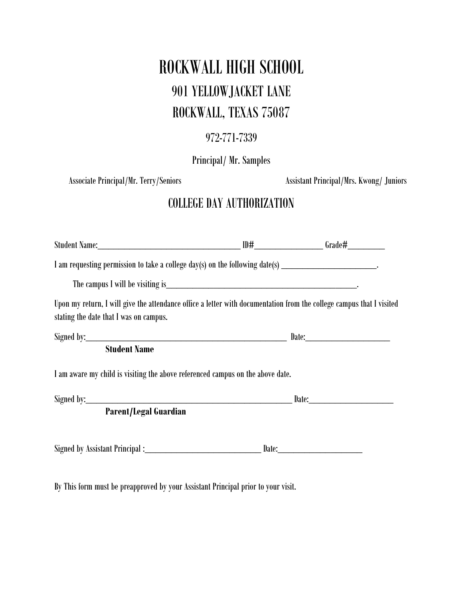## ROCKWALL HIGH SCHOOL 901 YELLOWJACKET LANE ROCKWALL, TEXAS 75087

## 972-771-7339

Principal/ Mr. Samples

Associate Principal/Mr. Terry/Seniors **Associate Principal/Mrs. Kwong/ Juniors** Assistant Principal/Mrs. Kwong/ Juniors

## COLLEGE DAY AUTHORIZATION

| I am requesting permission to take a college day(s) on the following date(s) _________________________________                                                 |                                  |  |
|----------------------------------------------------------------------------------------------------------------------------------------------------------------|----------------------------------|--|
|                                                                                                                                                                |                                  |  |
| Upon my return, I will give the attendance office a letter with documentation from the college campus that I visited<br>stating the date that I was on campus. |                                  |  |
|                                                                                                                                                                | Signed by: Date: Discovery Date: |  |
| <b>Student Name</b>                                                                                                                                            |                                  |  |
| I am aware my child is visiting the above referenced campus on the above date.                                                                                 |                                  |  |
| Signed by: Date: Date:                                                                                                                                         |                                  |  |
| <b>Parent/Legal Guardian</b>                                                                                                                                   |                                  |  |
| Signed by Assistant Principal: Date: Date: Date:                                                                                                               |                                  |  |
| By This form must be preapproved by your Assistant Principal prior to your visit.                                                                              |                                  |  |